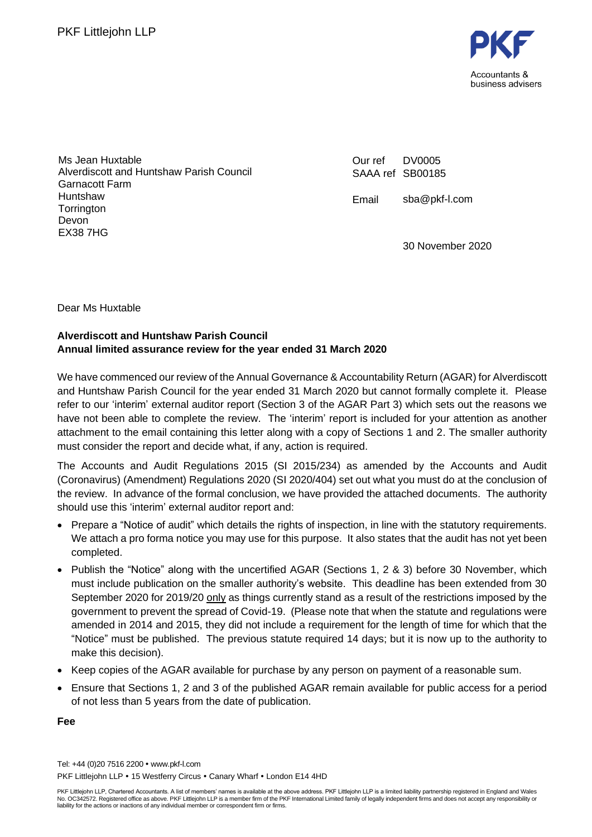

Ms Jean Huxtable Alverdiscott and Huntshaw Parish Council Garnacott Farm **Huntshaw Torrington** Devon EX38 7HG

Our ref SAAA ref SB00185 DV0005

Email sba@pkf-l.com

30 November 2020

Dear Ms Huxtable

## **Alverdiscott and Huntshaw Parish Council Annual limited assurance review for the year ended 31 March 2020**

We have commenced our review of the Annual Governance & Accountability Return (AGAR) for Alverdiscott and Huntshaw Parish Council for the year ended 31 March 2020 but cannot formally complete it. Please refer to our 'interim' external auditor report (Section 3 of the AGAR Part 3) which sets out the reasons we have not been able to complete the review. The 'interim' report is included for your attention as another attachment to the email containing this letter along with a copy of Sections 1 and 2. The smaller authority must consider the report and decide what, if any, action is required.

The Accounts and Audit Regulations 2015 (SI 2015/234) as amended by the Accounts and Audit (Coronavirus) (Amendment) Regulations 2020 (SI 2020/404) set out what you must do at the conclusion of the review. In advance of the formal conclusion, we have provided the attached documents. The authority should use this 'interim' external auditor report and:

- Prepare a "Notice of audit" which details the rights of inspection, in line with the statutory requirements. We attach a pro forma notice you may use for this purpose. It also states that the audit has not yet been completed.
- Publish the "Notice" along with the uncertified AGAR (Sections 1, 2 & 3) before 30 November, which must include publication on the smaller authority's website. This deadline has been extended from 30 September 2020 for 2019/20 only as things currently stand as a result of the restrictions imposed by the government to prevent the spread of Covid-19. (Please note that when the statute and regulations were amended in 2014 and 2015, they did not include a requirement for the length of time for which that the "Notice" must be published. The previous statute required 14 days; but it is now up to the authority to make this decision).
- Keep copies of the AGAR available for purchase by any person on payment of a reasonable sum.
- Ensure that Sections 1, 2 and 3 of the published AGAR remain available for public access for a period of not less than 5 years from the date of publication.

**Fee**

Tel: +44 (0)20 7516 2200 www.pkf-l.com PKF Littleiohn LLP • 15 Westferry Circus • Canary Wharf • London E14 4HD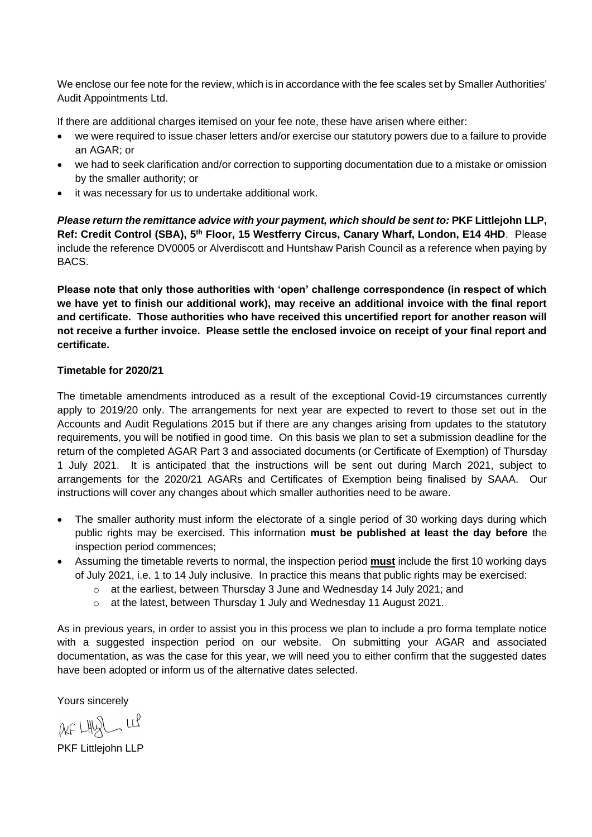We enclose our fee note for the review, which is in accordance with the fee scales set by Smaller Authorities' Audit Appointments Ltd.

If there are additional charges itemised on your fee note, these have arisen where either:

- we were required to issue chaser letters and/or exercise our statutory powers due to a failure to provide an AGAR; or
- we had to seek clarification and/or correction to supporting documentation due to a mistake or omission by the smaller authority; or
- it was necessary for us to undertake additional work.

*Please return the remittance advice with your payment, which should be sent to:* **PKF Littlejohn LLP,**  Ref: Credit Control (SBA), 5<sup>th</sup> Floor, 15 Westferry Circus, Canary Wharf, London, E14 4HD. Please include the reference DV0005 or Alverdiscott and Huntshaw Parish Council as a reference when paying by BACS.

**Please note that only those authorities with 'open' challenge correspondence (in respect of which we have yet to finish our additional work), may receive an additional invoice with the final report and certificate. Those authorities who have received this uncertified report for another reason will not receive a further invoice. Please settle the enclosed invoice on receipt of your final report and certificate.**

### **Timetable for 2020/21**

The timetable amendments introduced as a result of the exceptional Covid-19 circumstances currently apply to 2019/20 only. The arrangements for next year are expected to revert to those set out in the Accounts and Audit Regulations 2015 but if there are any changes arising from updates to the statutory requirements, you will be notified in good time. On this basis we plan to set a submission deadline for the return of the completed AGAR Part 3 and associated documents (or Certificate of Exemption) of Thursday 1 July 2021. It is anticipated that the instructions will be sent out during March 2021, subject to arrangements for the 2020/21 AGARs and Certificates of Exemption being finalised by SAAA. Our instructions will cover any changes about which smaller authorities need to be aware.

- The smaller authority must inform the electorate of a single period of 30 working days during which public rights may be exercised. This information **must be published at least the day before** the inspection period commences;
- Assuming the timetable reverts to normal, the inspection period **must** include the first 10 working days of July 2021, i.e. 1 to 14 July inclusive. In practice this means that public rights may be exercised:
	- o at the earliest, between Thursday 3 June and Wednesday 14 July 2021; and
	- o at the latest, between Thursday 1 July and Wednesday 11 August 2021.

As in previous years, in order to assist you in this process we plan to include a pro forma template notice with a suggested inspection period on our website. On submitting your AGAR and associated documentation, as was the case for this year, we will need you to either confirm that the suggested dates have been adopted or inform us of the alternative dates selected.

Yours sincerely

 $AF LHbS$   $Lf$ 

PKF Littlejohn LLP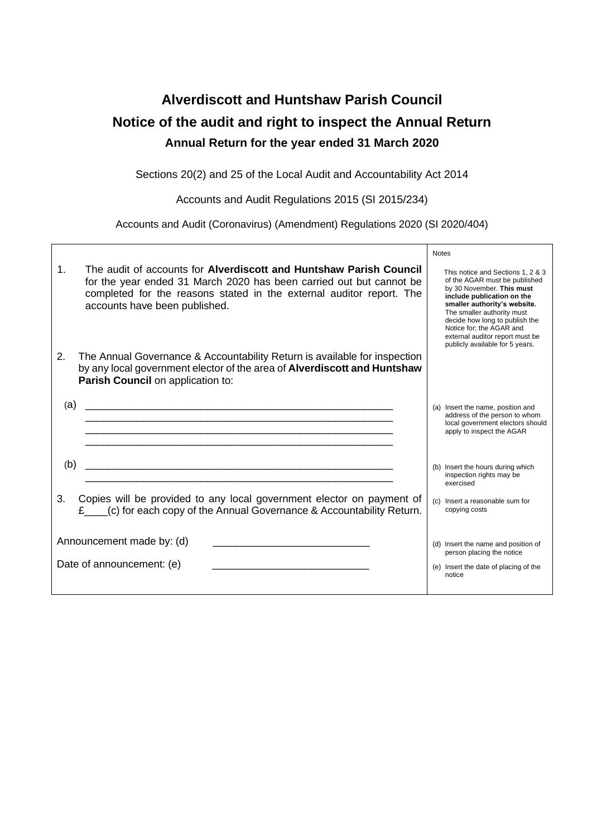# **Alverdiscott and Huntshaw Parish Council Notice of the audit and right to inspect the Annual Return Annual Return for the year ended 31 March 2020**

Sections 20(2) and 25 of the Local Audit and Accountability Act 2014

Accounts and Audit Regulations 2015 (SI 2015/234)

Accounts and Audit (Coronavirus) (Amendment) Regulations 2020 (SI 2020/404)

 $\mathsf{r}$ 

|                |                                                                                                                                                                                                                                                    | <b>Notes</b>                                                                                                                                                                                                                                                                                                                    |
|----------------|----------------------------------------------------------------------------------------------------------------------------------------------------------------------------------------------------------------------------------------------------|---------------------------------------------------------------------------------------------------------------------------------------------------------------------------------------------------------------------------------------------------------------------------------------------------------------------------------|
| 1 <sub>1</sub> | The audit of accounts for Alverdiscott and Huntshaw Parish Council<br>for the year ended 31 March 2020 has been carried out but cannot be<br>completed for the reasons stated in the external auditor report. The<br>accounts have been published. | This notice and Sections 1, 2 & 3<br>of the AGAR must be published<br>by 30 November. This must<br>include publication on the<br>smaller authority's website.<br>The smaller authority must<br>decide how long to publish the<br>Notice for; the AGAR and<br>external auditor report must be<br>publicly available for 5 years. |
| 2.             | The Annual Governance & Accountability Return is available for inspection<br>by any local government elector of the area of Alverdiscott and Huntshaw<br>Parish Council on application to:                                                         |                                                                                                                                                                                                                                                                                                                                 |
| (a)            | <u> 1989 - Johann Barbara, martxa alemaniar argametra (h. 1989).</u>                                                                                                                                                                               | (a) Insert the name, position and<br>address of the person to whom<br>local government electors should<br>apply to inspect the AGAR                                                                                                                                                                                             |
| (b)            |                                                                                                                                                                                                                                                    | (b) Insert the hours during which<br>inspection rights may be<br>exercised                                                                                                                                                                                                                                                      |
| 3.             | Copies will be provided to any local government elector on payment of<br>£____(c) for each copy of the Annual Governance & Accountability Return.                                                                                                  | (c) Insert a reasonable sum for<br>copying costs                                                                                                                                                                                                                                                                                |
|                | Announcement made by: (d)<br>Date of announcement: (e)                                                                                                                                                                                             | (d) Insert the name and position of<br>person placing the notice<br>(e) Insert the date of placing of the<br>notice                                                                                                                                                                                                             |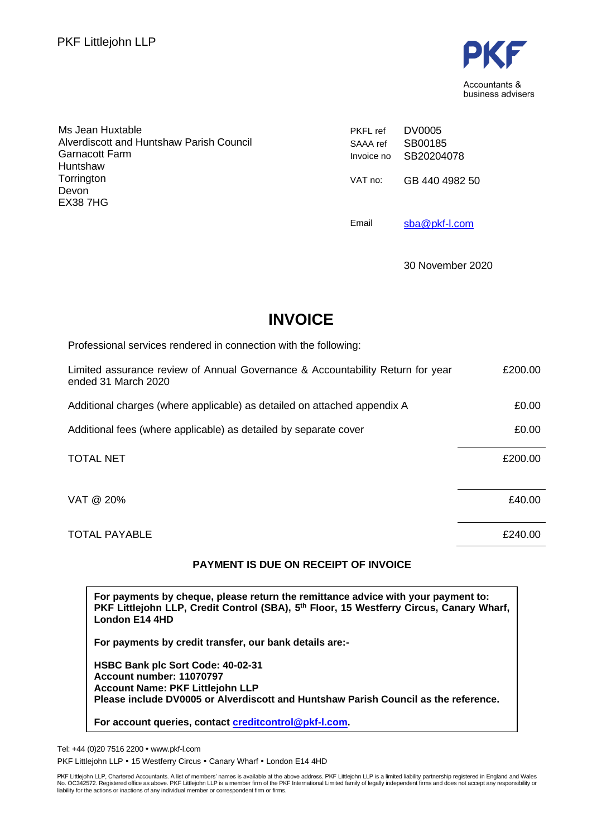

| Ms Jean Huxtable<br>Alverdiscott and Huntshaw Parish Council<br>Garnacott Farm<br>Huntshaw<br>Torrington | <b>PKFL</b> ref<br>SAAA ref<br>Invoice no<br>VAT no: | DV0005<br>SB00185<br>SB20204078 |
|----------------------------------------------------------------------------------------------------------|------------------------------------------------------|---------------------------------|
| Devon<br>EX38 7HG                                                                                        | Email                                                | GB 440 4982 50<br>sba@pkf-l.com |

30 November 2020

## **INVOICE**

| Professional services rendered in connection with the following:                                      |         |
|-------------------------------------------------------------------------------------------------------|---------|
| Limited assurance review of Annual Governance & Accountability Return for year<br>ended 31 March 2020 | £200.00 |
| Additional charges (where applicable) as detailed on attached appendix A                              | £0.00   |
| Additional fees (where applicable) as detailed by separate cover                                      | £0.00   |
| <b>TOTAL NET</b>                                                                                      | £200.00 |
| VAT @ 20%                                                                                             | £40.00  |
| <b>TOTAL PAYABLE</b>                                                                                  | £240.00 |

### **PAYMENT IS DUE ON RECEIPT OF INVOICE**

**For payments by cheque, please return the remittance advice with your payment to: PKF Littlejohn LLP, Credit Control (SBA), 5 th Floor, 15 Westferry Circus, Canary Wharf, London E14 4HD**

**For payments by credit transfer, our bank details are:-**

**HSBC Bank plc Sort Code: 40-02-31 Account number: 11070797 Account Name: PKF Littlejohn LLP Please include DV0005 or Alverdiscott and Huntshaw Parish Council as the reference.**

**For account queries, contact [creditcontrol@pkf-l.com.](mailto:creditcontrol@pkf-l.com)**

Tel: +44 (0)20 7516 2200 www.pkf-l.com

PKF Littlejohn LLP . 15 Westferry Circus . Canary Wharf . London E14 4HD

PKF Littlejohn LLP, Chartered Accountants. A list of members' names is available at the above address. PKF Littlejohn LLP is a limited liability partnership registered in England and Wales<br>No. OC342572. Registered office a